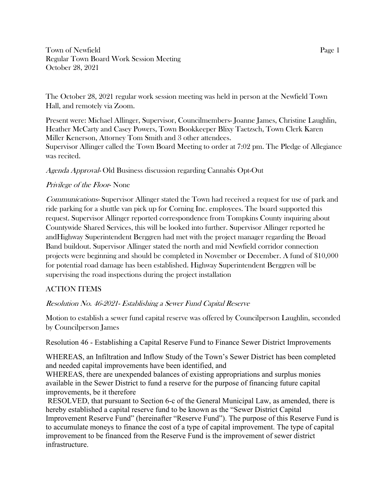Town of Newfield Page 1 Regular Town Board Work Session Meeting October 28, 2021

The October 28, 2021 regular work session meeting was held in person at the Newfield Town Hall, and remotely via Zoom.

Present were: Michael Allinger, Supervisor, Councilmembers- Joanne James, Christine Laughlin, Heather McCarty and Casey Powers, Town Bookkeeper Blixy Taetzsch, Town Clerk Karen Miller Kenerson, Attorney Tom Smith and 3 other attendees. Supervisor Allinger called the Town Board Meeting to order at 7:02 pm. The Pledge of Allegiance was recited.

Agenda Approval- Old Business discussion regarding Cannabis Opt-Out

# Privilege of the Floor- None

Communications- Supervisor Allinger stated the Town had received a request for use of park and ride parking for a shuttle van pick up for Corning Inc. employees. The board supported this request. Supervisor Allinger reported correspondence from Tompkins County inquiring about Countywide Shared Services, this will be looked into further. Supervisor Allinger reported he andHighway Superintendent Berggren had met with the project manager regarding the Broad Band buildout. Supervisor Allinger stated the north and mid Newfield corridor connection projects were beginning and should be completed in November or December. A fund of \$10,000 for potential road damage has been established. Highway Superintendent Berggren will be supervising the road inspections during the project installation

# ACTION ITEMS

# Resolution No. 46-2021- Establishing a Sewer Fund Capital Reserve

Motion to establish a sewer fund capital reserve was offered by Councilperson Laughlin, seconded by Councilperson James

Resolution 46 - Establishing a Capital Reserve Fund to Finance Sewer District Improvements

WHEREAS, an Infiltration and Inflow Study of the Town's Sewer District has been completed and needed capital improvements have been identified, and

WHEREAS, there are unexpended balances of existing appropriations and surplus monies available in the Sewer District to fund a reserve for the purpose of financing future capital improvements, be it therefore

RESOLVED, that pursuant to Section 6-c of the General Municipal Law, as amended, there is hereby established a capital reserve fund to be known as the "Sewer District Capital Improvement Reserve Fund" (hereinafter "Reserve Fund"). The purpose of this Reserve Fund is to accumulate moneys to finance the cost of a type of capital improvement. The type of capital improvement to be financed from the Reserve Fund is the improvement of sewer district infrastructure.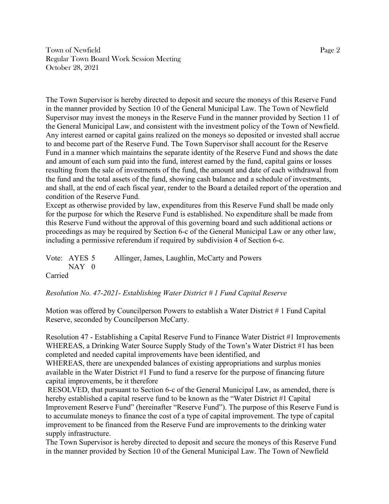Town of Newfield Page 2 Regular Town Board Work Session Meeting October 28, 2021

The Town Supervisor is hereby directed to deposit and secure the moneys of this Reserve Fund in the manner provided by Section 10 of the General Municipal Law. The Town of Newfield Supervisor may invest the moneys in the Reserve Fund in the manner provided by Section 11 of the General Municipal Law, and consistent with the investment policy of the Town of Newfield. Any interest earned or capital gains realized on the moneys so deposited or invested shall accrue to and become part of the Reserve Fund. The Town Supervisor shall account for the Reserve Fund in a manner which maintains the separate identity of the Reserve Fund and shows the date and amount of each sum paid into the fund, interest earned by the fund, capital gains or losses resulting from the sale of investments of the fund, the amount and date of each withdrawal from the fund and the total assets of the fund, showing cash balance and a schedule of investments, and shall, at the end of each fiscal year, render to the Board a detailed report of the operation and condition of the Reserve Fund.

Except as otherwise provided by law, expenditures from this Reserve Fund shall be made only for the purpose for which the Reserve Fund is established. No expenditure shall be made from this Reserve Fund without the approval of this governing board and such additional actions or proceedings as may be required by Section 6-c of the General Municipal Law or any other law, including a permissive referendum if required by subdivision 4 of Section 6-c.

Vote: AYES 5 Allinger, James, Laughlin, McCarty and Powers NAY 0 Carried

*Resolution No. 47-2021- Establishing Water District # 1 Fund Capital Reserve*

Motion was offered by Councilperson Powers to establish a Water District # 1 Fund Capital Reserve, seconded by Councilperson McCarty.

Resolution 47 - Establishing a Capital Reserve Fund to Finance Water District #1 Improvements WHEREAS, a Drinking Water Source Supply Study of the Town's Water District #1 has been completed and needed capital improvements have been identified, and

WHEREAS, there are unexpended balances of existing appropriations and surplus monies available in the Water District #1 Fund to fund a reserve for the purpose of financing future capital improvements, be it therefore

RESOLVED, that pursuant to Section 6-c of the General Municipal Law, as amended, there is hereby established a capital reserve fund to be known as the "Water District #1 Capital Improvement Reserve Fund" (hereinafter "Reserve Fund"). The purpose of this Reserve Fund is to accumulate moneys to finance the cost of a type of capital improvement. The type of capital improvement to be financed from the Reserve Fund are improvements to the drinking water supply infrastructure.

The Town Supervisor is hereby directed to deposit and secure the moneys of this Reserve Fund in the manner provided by Section 10 of the General Municipal Law. The Town of Newfield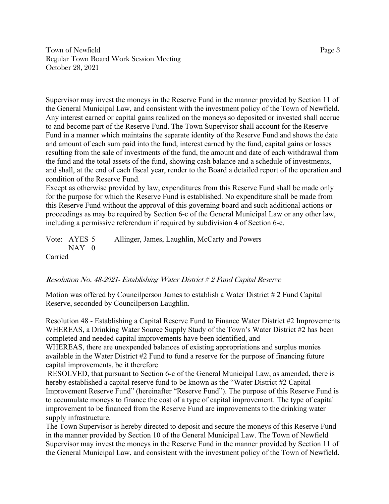Town of Newfield Page 3 Regular Town Board Work Session Meeting October 28, 2021

Supervisor may invest the moneys in the Reserve Fund in the manner provided by Section 11 of the General Municipal Law, and consistent with the investment policy of the Town of Newfield. Any interest earned or capital gains realized on the moneys so deposited or invested shall accrue to and become part of the Reserve Fund. The Town Supervisor shall account for the Reserve Fund in a manner which maintains the separate identity of the Reserve Fund and shows the date and amount of each sum paid into the fund, interest earned by the fund, capital gains or losses resulting from the sale of investments of the fund, the amount and date of each withdrawal from the fund and the total assets of the fund, showing cash balance and a schedule of investments, and shall, at the end of each fiscal year, render to the Board a detailed report of the operation and condition of the Reserve Fund.

Except as otherwise provided by law, expenditures from this Reserve Fund shall be made only for the purpose for which the Reserve Fund is established. No expenditure shall be made from this Reserve Fund without the approval of this governing board and such additional actions or proceedings as may be required by Section 6-c of the General Municipal Law or any other law, including a permissive referendum if required by subdivision 4 of Section 6-c.

Vote: AYES 5 Allinger, James, Laughlin, McCarty and Powers NAY 0 Carried

## Resolution No. 48-2021- Establishing Water District # 2 Fund Capital Reserve

Motion was offered by Councilperson James to establish a Water District # 2 Fund Capital Reserve, seconded by Councilperson Laughlin.

Resolution 48 - Establishing a Capital Reserve Fund to Finance Water District #2 Improvements WHEREAS, a Drinking Water Source Supply Study of the Town's Water District #2 has been completed and needed capital improvements have been identified, and

WHEREAS, there are unexpended balances of existing appropriations and surplus monies available in the Water District #2 Fund to fund a reserve for the purpose of financing future capital improvements, be it therefore

RESOLVED, that pursuant to Section 6-c of the General Municipal Law, as amended, there is hereby established a capital reserve fund to be known as the "Water District #2 Capital Improvement Reserve Fund" (hereinafter "Reserve Fund"). The purpose of this Reserve Fund is to accumulate moneys to finance the cost of a type of capital improvement. The type of capital improvement to be financed from the Reserve Fund are improvements to the drinking water supply infrastructure.

The Town Supervisor is hereby directed to deposit and secure the moneys of this Reserve Fund in the manner provided by Section 10 of the General Municipal Law. The Town of Newfield Supervisor may invest the moneys in the Reserve Fund in the manner provided by Section 11 of the General Municipal Law, and consistent with the investment policy of the Town of Newfield.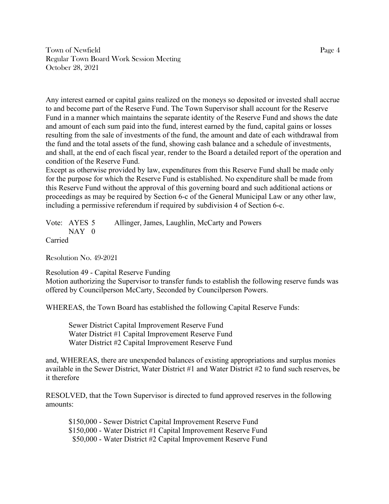Town of Newfield Page 4 Regular Town Board Work Session Meeting October 28, 2021

Any interest earned or capital gains realized on the moneys so deposited or invested shall accrue to and become part of the Reserve Fund. The Town Supervisor shall account for the Reserve Fund in a manner which maintains the separate identity of the Reserve Fund and shows the date and amount of each sum paid into the fund, interest earned by the fund, capital gains or losses resulting from the sale of investments of the fund, the amount and date of each withdrawal from the fund and the total assets of the fund, showing cash balance and a schedule of investments, and shall, at the end of each fiscal year, render to the Board a detailed report of the operation and condition of the Reserve Fund.

Except as otherwise provided by law, expenditures from this Reserve Fund shall be made only for the purpose for which the Reserve Fund is established. No expenditure shall be made from this Reserve Fund without the approval of this governing board and such additional actions or proceedings as may be required by Section 6-c of the General Municipal Law or any other law, including a permissive referendum if required by subdivision 4 of Section 6-c.

| Vote: AYES 5 | Allinger, James, Laughlin, McCarty and Powers |
|--------------|-----------------------------------------------|
| $NAY$ 0      |                                               |
| Carried      |                                               |

Resolution No. 49-2021

Resolution 49 - Capital Reserve Funding

Motion authorizing the Supervisor to transfer funds to establish the following reserve funds was offered by Councilperson McCarty, Seconded by Councilperson Powers.

WHEREAS, the Town Board has established the following Capital Reserve Funds:

Sewer District Capital Improvement Reserve Fund Water District #1 Capital Improvement Reserve Fund Water District #2 Capital Improvement Reserve Fund

and, WHEREAS, there are unexpended balances of existing appropriations and surplus monies available in the Sewer District, Water District #1 and Water District #2 to fund such reserves, be it therefore

RESOLVED, that the Town Supervisor is directed to fund approved reserves in the following amounts:

\$150,000 - Sewer District Capital Improvement Reserve Fund \$150,000 - Water District #1 Capital Improvement Reserve Fund \$50,000 - Water District #2 Capital Improvement Reserve Fund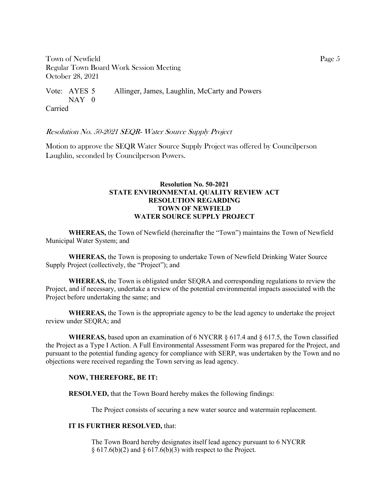Town of Newfield Page 5 Regular Town Board Work Session Meeting October 28, 2021

Vote: AYES 5 Allinger, James, Laughlin, McCarty and Powers NAY 0 Carried

Resolution No. 50-2021 SEQR- Water Source Supply Project

Motion to approve the SEQR Water Source Supply Project was offered by Councilperson Laughlin, seconded by Councilperson Powers.

### **Resolution No. 50-2021 STATE ENVIRONMENTAL QUALITY REVIEW ACT RESOLUTION REGARDING TOWN OF NEWFIELD WATER SOURCE SUPPLY PROJECT**

**WHEREAS,** the Town of Newfield (hereinafter the "Town") maintains the Town of Newfield Municipal Water System; and

**WHEREAS,** the Town is proposing to undertake Town of Newfield Drinking Water Source Supply Project (collectively, the "Project"); and

**WHEREAS,** the Town is obligated under SEQRA and corresponding regulations to review the Project, and if necessary, undertake a review of the potential environmental impacts associated with the Project before undertaking the same; and

**WHEREAS,** the Town is the appropriate agency to be the lead agency to undertake the project review under SEQRA; and

**WHEREAS,** based upon an examination of 6 NYCRR § 617.4 and § 617.5, the Town classified the Project as a Type I Action. A Full Environmental Assessment Form was prepared for the Project, and pursuant to the potential funding agency for compliance with SERP, was undertaken by the Town and no objections were received regarding the Town serving as lead agency.

### **NOW, THEREFORE, BE IT:**

**RESOLVED,** that the Town Board hereby makes the following findings:

The Project consists of securing a new water source and watermain replacement.

#### **IT IS FURTHER RESOLVED,** that:

The Town Board hereby designates itself lead agency pursuant to 6 NYCRR  $\S 617.6(b)(2)$  and  $\S 617.6(b)(3)$  with respect to the Project.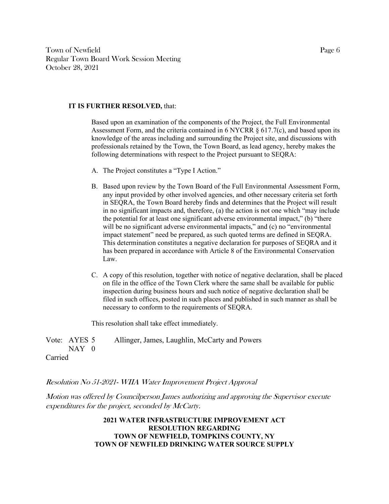Town of Newfield Page 6 Regular Town Board Work Session Meeting October 28, 2021

#### **IT IS FURTHER RESOLVED,** that:

Based upon an examination of the components of the Project, the Full Environmental Assessment Form, and the criteria contained in 6 NYCRR  $\S$  617.7(c), and based upon its knowledge of the areas including and surrounding the Project site, and discussions with professionals retained by the Town, the Town Board, as lead agency, hereby makes the following determinations with respect to the Project pursuant to SEORA:

- A. The Project constitutes a "Type I Action."
- B. Based upon review by the Town Board of the Full Environmental Assessment Form, any input provided by other involved agencies, and other necessary criteria set forth in SEQRA, the Town Board hereby finds and determines that the Project will result in no significant impacts and, therefore, (a) the action is not one which "may include the potential for at least one significant adverse environmental impact," (b) "there will be no significant adverse environmental impacts," and (c) no "environmental impact statement" need be prepared, as such quoted terms are defined in SEQRA. This determination constitutes a negative declaration for purposes of SEQRA and it has been prepared in accordance with Article 8 of the Environmental Conservation Law.
- C. A copy of this resolution, together with notice of negative declaration, shall be placed on file in the office of the Town Clerk where the same shall be available for public inspection during business hours and such notice of negative declaration shall be filed in such offices, posted in such places and published in such manner as shall be necessary to conform to the requirements of SEQRA.

This resolution shall take effect immediately.

Vote: AYES 5 Allinger, James, Laughlin, McCarty and Powers NAY 0 Carried

#### Resolution No 51-2021- WIIA Water Improvement Project Approval

Motion was offered by Councilperson James authorizing and approving the Supervisor execute expenditures for the project, seconded by McCarty.

> **2021 WATER INFRASTRUCTURE IMPROVEMENT ACT RESOLUTION REGARDING TOWN OF NEWFIELD, TOMPKINS COUNTY, NY TOWN OF NEWFILED DRINKING WATER SOURCE SUPPLY**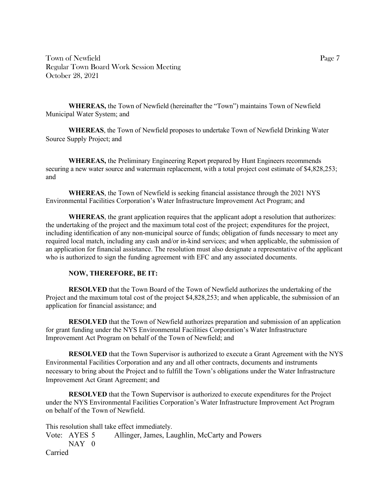Town of Newfield Page 7 Regular Town Board Work Session Meeting October 28, 2021

**WHEREAS,** the Town of Newfield (hereinafter the "Town") maintains Town of Newfield Municipal Water System; and

**WHEREAS**, the Town of Newfield proposes to undertake Town of Newfield Drinking Water Source Supply Project; and

**WHEREAS,** the Preliminary Engineering Report prepared by Hunt Engineers recommends securing a new water source and watermain replacement, with a total project cost estimate of \$4,828,253; and

**WHEREAS**, the Town of Newfield is seeking financial assistance through the 2021 NYS Environmental Facilities Corporation's Water Infrastructure Improvement Act Program; and

**WHEREAS**, the grant application requires that the applicant adopt a resolution that authorizes: the undertaking of the project and the maximum total cost of the project; expenditures for the project, including identification of any non-municipal source of funds; obligation of funds necessary to meet any required local match, including any cash and/or in-kind services; and when applicable, the submission of an application for financial assistance. The resolution must also designate a representative of the applicant who is authorized to sign the funding agreement with EFC and any associated documents.

### **NOW, THEREFORE, BE IT:**

**RESOLVED** that the Town Board of the Town of Newfield authorizes the undertaking of the Project and the maximum total cost of the project \$4,828,253; and when applicable, the submission of an application for financial assistance; and

**RESOLVED** that the Town of Newfield authorizes preparation and submission of an application for grant funding under the NYS Environmental Facilities Corporation's Water Infrastructure Improvement Act Program on behalf of the Town of Newfield; and

**RESOLVED** that the Town Supervisor is authorized to execute a Grant Agreement with the NYS Environmental Facilities Corporation and any and all other contracts, documents and instruments necessary to bring about the Project and to fulfill the Town's obligations under the Water Infrastructure Improvement Act Grant Agreement; and

**RESOLVED** that the Town Supervisor is authorized to execute expenditures for the Project under the NYS Environmental Facilities Corporation's Water Infrastructure Improvement Act Program on behalf of the Town of Newfield.

This resolution shall take effect immediately.

Vote: AYES 5 Allinger, James, Laughlin, McCarty and Powers  $NAY$  0 Carried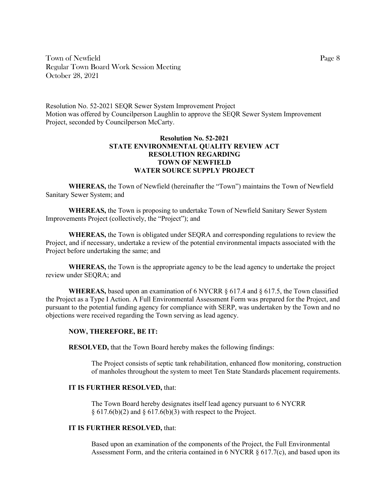Town of Newfield Page 8 Regular Town Board Work Session Meeting October 28, 2021

Resolution No. 52-2021 SEQR Sewer System Improvement Project Motion was offered by Councilperson Laughlin to approve the SEQR Sewer System Improvement Project, seconded by Councilperson McCarty.

### **Resolution No. 52-2021 STATE ENVIRONMENTAL QUALITY REVIEW ACT RESOLUTION REGARDING TOWN OF NEWFIELD WATER SOURCE SUPPLY PROJECT**

**WHEREAS,** the Town of Newfield (hereinafter the "Town") maintains the Town of Newfield Sanitary Sewer System; and

**WHEREAS,** the Town is proposing to undertake Town of Newfield Sanitary Sewer System Improvements Project (collectively, the "Project"); and

**WHEREAS,** the Town is obligated under SEQRA and corresponding regulations to review the Project, and if necessary, undertake a review of the potential environmental impacts associated with the Project before undertaking the same; and

**WHEREAS,** the Town is the appropriate agency to be the lead agency to undertake the project review under SEQRA; and

**WHEREAS,** based upon an examination of 6 NYCRR § 617.4 and § 617.5, the Town classified the Project as a Type I Action. A Full Environmental Assessment Form was prepared for the Project, and pursuant to the potential funding agency for compliance with SERP, was undertaken by the Town and no objections were received regarding the Town serving as lead agency.

#### **NOW, THEREFORE, BE IT:**

**RESOLVED,** that the Town Board hereby makes the following findings:

The Project consists of septic tank rehabilitation, enhanced flow monitoring, construction of manholes throughout the system to meet Ten State Standards placement requirements.

#### **IT IS FURTHER RESOLVED,** that:

The Town Board hereby designates itself lead agency pursuant to 6 NYCRR  $\S 617.6(b)(2)$  and  $\S 617.6(b)(3)$  with respect to the Project.

#### **IT IS FURTHER RESOLVED,** that:

Based upon an examination of the components of the Project, the Full Environmental Assessment Form, and the criteria contained in  $6$  NYCRR  $§$  617.7(c), and based upon its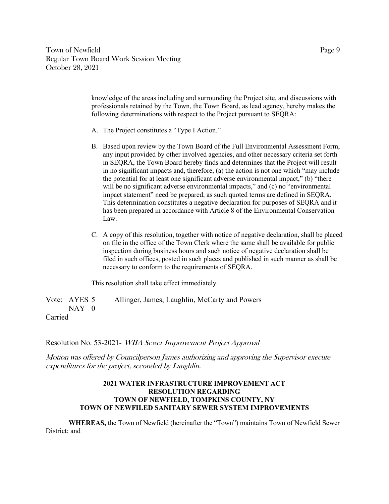Town of Newfield Page 9 Regular Town Board Work Session Meeting October 28, 2021

> knowledge of the areas including and surrounding the Project site, and discussions with professionals retained by the Town, the Town Board, as lead agency, hereby makes the following determinations with respect to the Project pursuant to SEQRA:

- A. The Project constitutes a "Type I Action."
- B. Based upon review by the Town Board of the Full Environmental Assessment Form, any input provided by other involved agencies, and other necessary criteria set forth in SEQRA, the Town Board hereby finds and determines that the Project will result in no significant impacts and, therefore, (a) the action is not one which "may include the potential for at least one significant adverse environmental impact," (b) "there will be no significant adverse environmental impacts," and (c) no "environmental impact statement" need be prepared, as such quoted terms are defined in SEQRA. This determination constitutes a negative declaration for purposes of SEQRA and it has been prepared in accordance with Article 8 of the Environmental Conservation Law.
- C. A copy of this resolution, together with notice of negative declaration, shall be placed on file in the office of the Town Clerk where the same shall be available for public inspection during business hours and such notice of negative declaration shall be filed in such offices, posted in such places and published in such manner as shall be necessary to conform to the requirements of SEQRA.

This resolution shall take effect immediately.

Vote: AYES 5 Allinger, James, Laughlin, McCarty and Powers NAY 0

Carried

Resolution No. 53-2021- WIIA Sewer Improvement Project Approval

Motion was offered by Councilperson James authorizing and approving the Supervisor execute expenditures for the project, seconded by Laughlin.

### **2021 WATER INFRASTRUCTURE IMPROVEMENT ACT RESOLUTION REGARDING TOWN OF NEWFIELD, TOMPKINS COUNTY, NY TOWN OF NEWFILED SANITARY SEWER SYSTEM IMPROVEMENTS**

**WHEREAS,** the Town of Newfield (hereinafter the "Town") maintains Town of Newfield Sewer District; and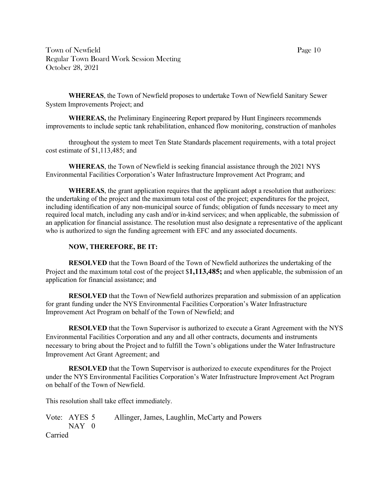Town of Newfield Page 10 Regular Town Board Work Session Meeting October 28, 2021

**WHEREAS**, the Town of Newfield proposes to undertake Town of Newfield Sanitary Sewer System Improvements Project; and

**WHEREAS,** the Preliminary Engineering Report prepared by Hunt Engineers recommends improvements to include septic tank rehabilitation, enhanced flow monitoring, construction of manholes

throughout the system to meet Ten State Standards placement requirements, with a total project cost estimate of \$1,113,485; and

**WHEREAS**, the Town of Newfield is seeking financial assistance through the 2021 NYS Environmental Facilities Corporation's Water Infrastructure Improvement Act Program; and

**WHEREAS**, the grant application requires that the applicant adopt a resolution that authorizes: the undertaking of the project and the maximum total cost of the project; expenditures for the project, including identification of any non-municipal source of funds; obligation of funds necessary to meet any required local match, including any cash and/or in-kind services; and when applicable, the submission of an application for financial assistance. The resolution must also designate a representative of the applicant who is authorized to sign the funding agreement with EFC and any associated documents.

### **NOW, THEREFORE, BE IT:**

**RESOLVED** that the Town Board of the Town of Newfield authorizes the undertaking of the Project and the maximum total cost of the project \$**1,113,485;** and when applicable, the submission of an application for financial assistance; and

**RESOLVED** that the Town of Newfield authorizes preparation and submission of an application for grant funding under the NYS Environmental Facilities Corporation's Water Infrastructure Improvement Act Program on behalf of the Town of Newfield; and

**RESOLVED** that the Town Supervisor is authorized to execute a Grant Agreement with the NYS Environmental Facilities Corporation and any and all other contracts, documents and instruments necessary to bring about the Project and to fulfill the Town's obligations under the Water Infrastructure Improvement Act Grant Agreement; and

**RESOLVED** that the Town Supervisor is authorized to execute expenditures for the Project under the NYS Environmental Facilities Corporation's Water Infrastructure Improvement Act Program on behalf of the Town of Newfield.

This resolution shall take effect immediately.

Vote: AYES 5 Allinger, James, Laughlin, McCarty and Powers  $NAY$  0 Carried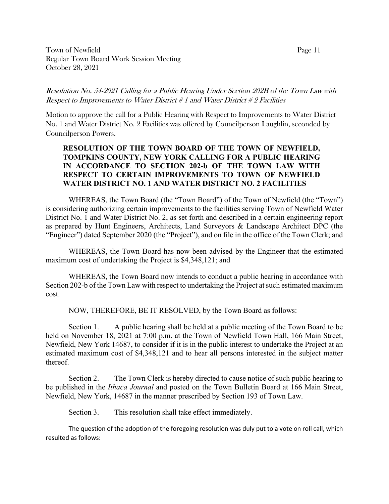Town of Newfield Page 11 Regular Town Board Work Session Meeting October 28, 2021

# Resolution No. 54-2021 Calling for a Public Hearing Under Section 202B of the Town Law with Respect to Improvements to Water District # 1 and Water District # 2 Facilities

Motion to approve the call for a Public Hearing with Respect to Improvements to Water District No. 1 and Water District No. 2 Facilities was offered by Councilperson Laughlin, seconded by Councilperson Powers.

## **RESOLUTION OF THE TOWN BOARD OF THE TOWN OF NEWFIELD, TOMPKINS COUNTY, NEW YORK CALLING FOR A PUBLIC HEARING IN ACCORDANCE TO SECTION 202-b OF THE TOWN LAW WITH RESPECT TO CERTAIN IMPROVEMENTS TO TOWN OF NEWFIELD WATER DISTRICT NO. 1 AND WATER DISTRICT NO. 2 FACILITIES**

WHEREAS, the Town Board (the "Town Board") of the Town of Newfield (the "Town") is considering authorizing certain improvements to the facilities serving Town of Newfield Water District No. 1 and Water District No. 2, as set forth and described in a certain engineering report as prepared by Hunt Engineers, Architects, Land Surveyors & Landscape Architect DPC (the "Engineer") dated September 2020 (the "Project"), and on file in the office of the Town Clerk; and

WHEREAS, the Town Board has now been advised by the Engineer that the estimated maximum cost of undertaking the Project is \$4,348,121; and

WHEREAS, the Town Board now intends to conduct a public hearing in accordance with Section 202-b of the Town Law with respect to undertaking the Project at such estimated maximum cost.

NOW, THEREFORE, BE IT RESOLVED, by the Town Board as follows:

Section 1. A public hearing shall be held at a public meeting of the Town Board to be held on November 18, 2021 at 7:00 p.m. at the Town of Newfield Town Hall, 166 Main Street, Newfield, New York 14687, to consider if it is in the public interest to undertake the Project at an estimated maximum cost of \$4,348,121 and to hear all persons interested in the subject matter thereof.

Section 2. The Town Clerk is hereby directed to cause notice of such public hearing to be published in the *Ithaca Journal* and posted on the Town Bulletin Board at 166 Main Street, Newfield, New York, 14687 in the manner prescribed by Section 193 of Town Law.

Section 3. This resolution shall take effect immediately.

The question of the adoption of the foregoing resolution was duly put to a vote on roll call, which resulted as follows: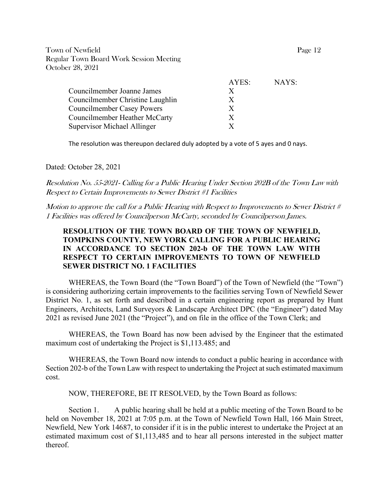Town of Newfield Page 12 Regular Town Board Work Session Meeting October 28, 2021

|                                      | AYES: | NAYS: |
|--------------------------------------|-------|-------|
| Councilmember Joanne James           | X     |       |
| Councilmember Christine Laughlin     | X     |       |
| <b>Councilmember Casey Powers</b>    | X     |       |
| <b>Councilmember Heather McCarty</b> | X     |       |
| Supervisor Michael Allinger          |       |       |

The resolution was thereupon declared duly adopted by a vote of 5 ayes and 0 nays.

Dated: October 28, 2021

Resolution No. 55-2021- Calling for a Public Hearing Under Section 202B of the Town Law with Respect to Certain Improvements to Sewer District #1 Facilities

Motion to approve the call for a Public Hearing with Respect to Improvements to Sewer District # 1 Facilities was offered by Councilperson McCarty, seconded by Councilperson James.

# **RESOLUTION OF THE TOWN BOARD OF THE TOWN OF NEWFIELD, TOMPKINS COUNTY, NEW YORK CALLING FOR A PUBLIC HEARING IN ACCORDANCE TO SECTION 202-b OF THE TOWN LAW WITH RESPECT TO CERTAIN IMPROVEMENTS TO TOWN OF NEWFIELD SEWER DISTRICT NO. 1 FACILITIES**

WHEREAS, the Town Board (the "Town Board") of the Town of Newfield (the "Town") is considering authorizing certain improvements to the facilities serving Town of Newfield Sewer District No. 1, as set forth and described in a certain engineering report as prepared by Hunt Engineers, Architects, Land Surveyors & Landscape Architect DPC (the "Engineer") dated May 2021 as revised June 2021 (the "Project"), and on file in the office of the Town Clerk; and

WHEREAS, the Town Board has now been advised by the Engineer that the estimated maximum cost of undertaking the Project is \$1,113.485; and

WHEREAS, the Town Board now intends to conduct a public hearing in accordance with Section 202-b of the Town Law with respect to undertaking the Project at such estimated maximum cost.

NOW, THEREFORE, BE IT RESOLVED, by the Town Board as follows:

Section 1. A public hearing shall be held at a public meeting of the Town Board to be held on November 18, 2021 at 7:05 p.m. at the Town of Newfield Town Hall, 166 Main Street, Newfield, New York 14687, to consider if it is in the public interest to undertake the Project at an estimated maximum cost of \$1,113,485 and to hear all persons interested in the subject matter thereof.